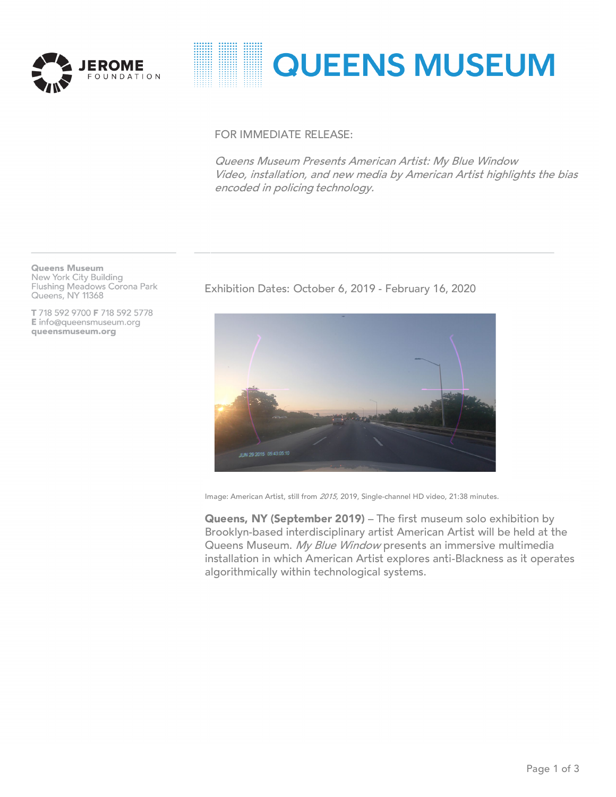

# **::::::: ::::::: QUEENS MUSEUM**

## FOR IMMEDIATE RELEASE:

Queens Museum Presents American Artist: My Blue Window Video, installation, and new media by American Artist highlights the bias encoded in policing technology.

**Queens Museum** New York City Building Flushing Meadows Corona Park Queens, NY 11368

T 718 592 9700 F 718 592 5778 E info@queensmuseum.org queensmuseum.org

Exhibition Dates: October 6, 2019 - February 16, 2020



Image: American Artist, still from 2015, 2019, Single-channel HD video, 21:38 minutes.

Queens, NY (September 2019) - The first museum solo exhibition by Brooklyn-based interdisciplinary artist American Artist will be held at the Queens Museum. My Blue Window presents an immersive multimedia installation in which American Artist explores anti-Blackness as it operates algorithmically within technological systems.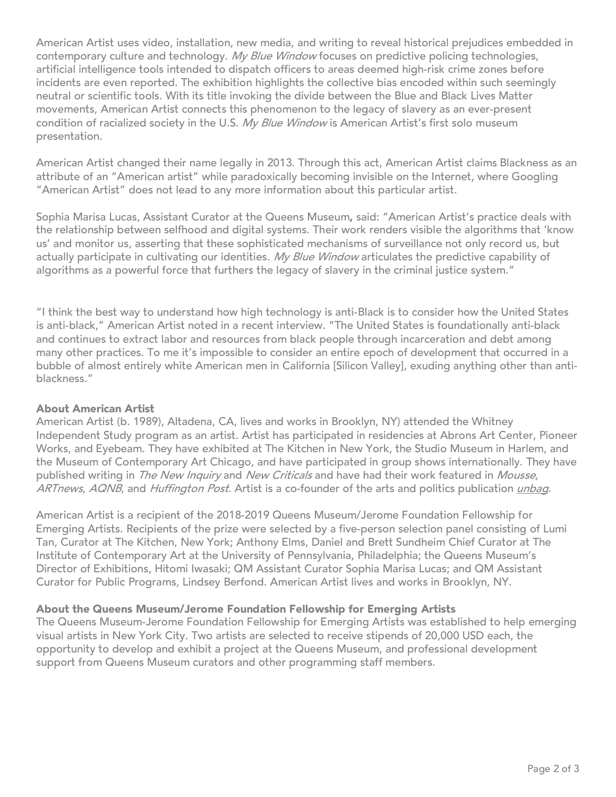American Artist uses video, installation, new media, and writing to reveal historical prejudices embedded in contemporary culture and technology. My Blue Window focuses on predictive policing technologies, artificial intelligence tools intended to dispatch officers to areas deemed high-risk crime zones before incidents are even reported. The exhibition highlights the collective bias encoded within such seemingly neutral or scientific tools. With its title invoking the divide between the Blue and Black Lives Matter movements, American Artist connects this phenomenon to the legacy of slavery as an ever-present condition of racialized society in the U.S. My Blue Window is American Artist's first solo museum presentation.

American Artist changed their name legally in 2013. Through this act, American Artist claims Blackness as an attribute of an "American artist" while paradoxically becoming invisible on the Internet, where Googling "American Artist" does not lead to any more information about this particular artist.

Sophia Marisa Lucas, Assistant Curator at the Queens Museum, said: "American Artist's practice deals with the relationship between selfhood and digital systems. Their work renders visible the algorithms that 'know us' and monitor us, asserting that these sophisticated mechanisms of surveillance not only record us, but actually participate in cultivating our identities. My Blue Window articulates the predictive capability of algorithms as a powerful force that furthers the legacy of slavery in the criminal justice system."

"I think the best way to understand how high technology is anti-Black is to consider how the United States is anti-black," American Artist noted in a recent interview. "The United States is foundationally anti-black and continues to extract labor and resources from black people through incarceration and debt among many other practices. To me it's impossible to consider an entire epoch of development that occurred in a bubble of almost entirely white American men in California [Silicon Valley], exuding anything other than antiblackness."

### About American Artist

American Artist (b. 1989), Altadena, CA, lives and works in Brooklyn, NY) attended the Whitney Independent Study program as an artist. Artist has participated in residencies at Abrons Art Center, Pioneer Works, and Eyebeam. They have exhibited at The Kitchen in New York, the Studio Museum in Harlem, and the Museum of Contemporary Art Chicago, and have participated in group shows internationally. They have published writing in The New Inquiry and New Criticals and have had their work featured in Mousse, ARTnews, AQNB, and Huffington Post. Artist is a co-founder of the arts and politics publication [unbag](http://unbag.net/issue-3-reverie/).

American Artist is a recipient of the 2018-2019 Queens Museum/Jerome Foundation Fellowship for Emerging Artists. Recipients of the prize were selected by a five-person selection panel consisting of Lumi Tan, Curator at The Kitchen, New York; Anthony Elms, Daniel and Brett Sundheim Chief Curator at The Institute of Contemporary Art at the University of Pennsylvania, Philadelphia; the Queens Museum's Director of Exhibitions, Hitomi Iwasaki; QM Assistant Curator Sophia Marisa Lucas; and QM Assistant Curator for Public Programs, Lindsey Berfond. American Artist lives and works in Brooklyn, NY.

### About the Queens Museum/Jerome Foundation Fellowship for Emerging Artists

The Queens Museum-Jerome Foundation Fellowship for Emerging Artists was established to help emerging visual artists in New York City. Two artists are selected to receive stipends of 20,000 USD each, the opportunity to develop and exhibit a project at the Queens Museum, and professional development support from Queens Museum curators and other programming staff members.